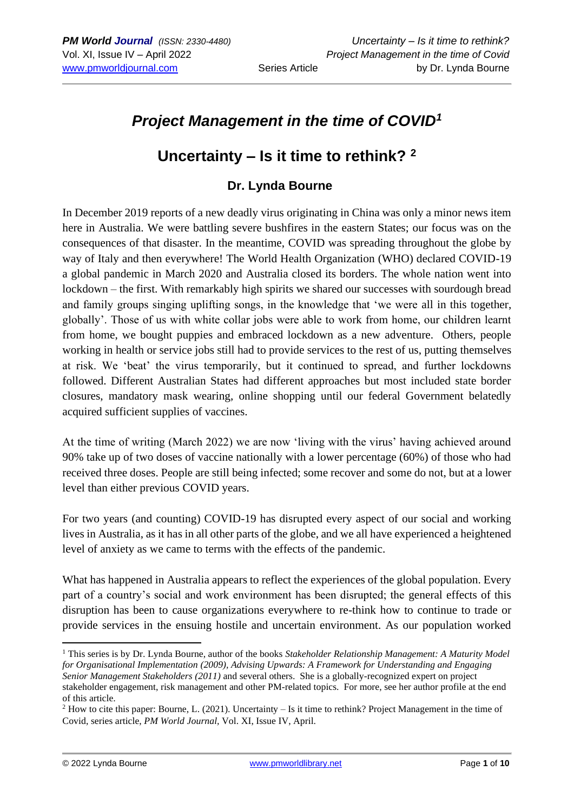# *Project Management in the time of COVID<sup>1</sup>*

# **Uncertainty – Is it time to rethink? <sup>2</sup>**

## **Dr. Lynda Bourne**

In December 2019 reports of a new deadly virus originating in China was only a minor news item here in Australia. We were battling severe bushfires in the eastern States; our focus was on the consequences of that disaster. In the meantime, COVID was spreading throughout the globe by way of Italy and then everywhere! The World Health Organization (WHO) declared COVID-19 a global pandemic in March 2020 and Australia closed its borders. The whole nation went into lockdown – the first. With remarkably high spirits we shared our successes with sourdough bread and family groups singing uplifting songs, in the knowledge that 'we were all in this together, globally'. Those of us with white collar jobs were able to work from home, our children learnt from home, we bought puppies and embraced lockdown as a new adventure. Others, people working in health or service jobs still had to provide services to the rest of us, putting themselves at risk. We 'beat' the virus temporarily, but it continued to spread, and further lockdowns followed. Different Australian States had different approaches but most included state border closures, mandatory mask wearing, online shopping until our federal Government belatedly acquired sufficient supplies of vaccines.

At the time of writing (March 2022) we are now 'living with the virus' having achieved around 90% take up of two doses of vaccine nationally with a lower percentage (60%) of those who had received three doses. People are still being infected; some recover and some do not, but at a lower level than either previous COVID years.

For two years (and counting) COVID-19 has disrupted every aspect of our social and working lives in Australia, as it has in all other parts of the globe, and we all have experienced a heightened level of anxiety as we came to terms with the effects of the pandemic.

What has happened in Australia appears to reflect the experiences of the global population. Every part of a country's social and work environment has been disrupted; the general effects of this disruption has been to cause organizations everywhere to re-think how to continue to trade or provide services in the ensuing hostile and uncertain environment. As our population worked

<sup>1</sup> This series is by Dr. Lynda Bourne, author of the books *Stakeholder Relationship Management: A Maturity Model for Organisational Implementation (2009), Advising Upwards: A Framework for Understanding and Engaging Senior Management Stakeholders (2011)* and several others. She is a globally-recognized expert on project stakeholder engagement, risk management and other PM-related topics. For more, see her author profile at the end of this article.

<sup>2</sup> How to cite this paper: Bourne, L. (2021). Uncertainty – Is it time to rethink? Project Management in the time of Covid, series article, *PM World Journal,* Vol. XI, Issue IV, April.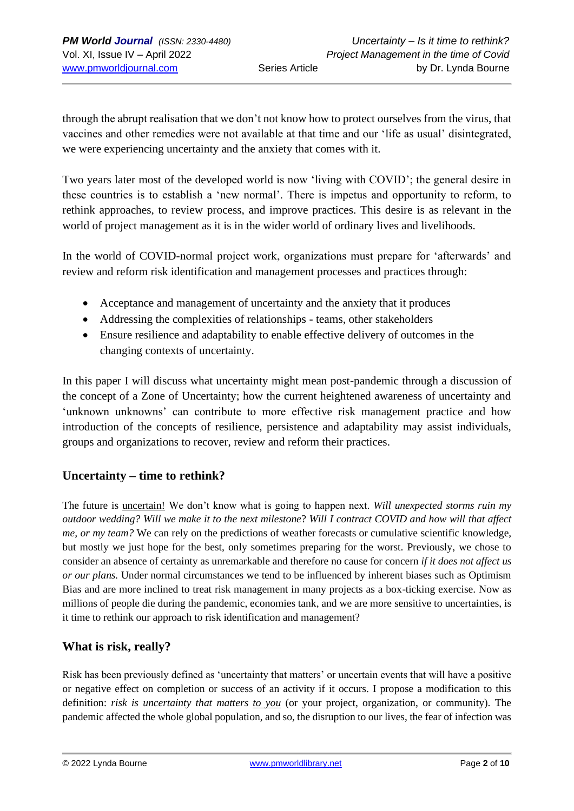through the abrupt realisation that we don't not know how to protect ourselves from the virus, that vaccines and other remedies were not available at that time and our 'life as usual' disintegrated, we were experiencing uncertainty and the anxiety that comes with it.

Two years later most of the developed world is now 'living with COVID'; the general desire in these countries is to establish a 'new normal'. There is impetus and opportunity to reform, to rethink approaches, to review process, and improve practices. This desire is as relevant in the world of project management as it is in the wider world of ordinary lives and livelihoods.

In the world of COVID-normal project work, organizations must prepare for 'afterwards' and review and reform risk identification and management processes and practices through:

- Acceptance and management of uncertainty and the anxiety that it produces
- Addressing the complexities of relationships teams, other stakeholders
- Ensure resilience and adaptability to enable effective delivery of outcomes in the changing contexts of uncertainty.

In this paper I will discuss what uncertainty might mean post-pandemic through a discussion of the concept of a Zone of Uncertainty; how the current heightened awareness of uncertainty and 'unknown unknowns' can contribute to more effective risk management practice and how introduction of the concepts of resilience, persistence and adaptability may assist individuals, groups and organizations to recover, review and reform their practices.

## **Uncertainty – time to rethink?**

The future is uncertain! We don't know what is going to happen next. *Will unexpected storms ruin my outdoor wedding? Will we make it to the next milestone*? *Will I contract COVID and how will that affect me, or my team?* We can rely on the predictions of weather forecasts or cumulative scientific knowledge, but mostly we just hope for the best, only sometimes preparing for the worst. Previously, we chose to consider an absence of certainty as unremarkable and therefore no cause for concern *if it does not affect us or our plans.* Under normal circumstances we tend to be influenced by inherent biases such as Optimism Bias and are more inclined to treat risk management in many projects as a box-ticking exercise. Now as millions of people die during the pandemic, economies tank, and we are more sensitive to uncertainties, is it time to rethink our approach to risk identification and management?

## **What is risk, really?**

Risk has been previously defined as 'uncertainty that matters' or uncertain events that will have a positive or negative effect on completion or success of an activity if it occurs. I propose a modification to this definition: *risk is uncertainty that matters to you* (or your project, organization, or community). The pandemic affected the whole global population, and so, the disruption to our lives, the fear of infection was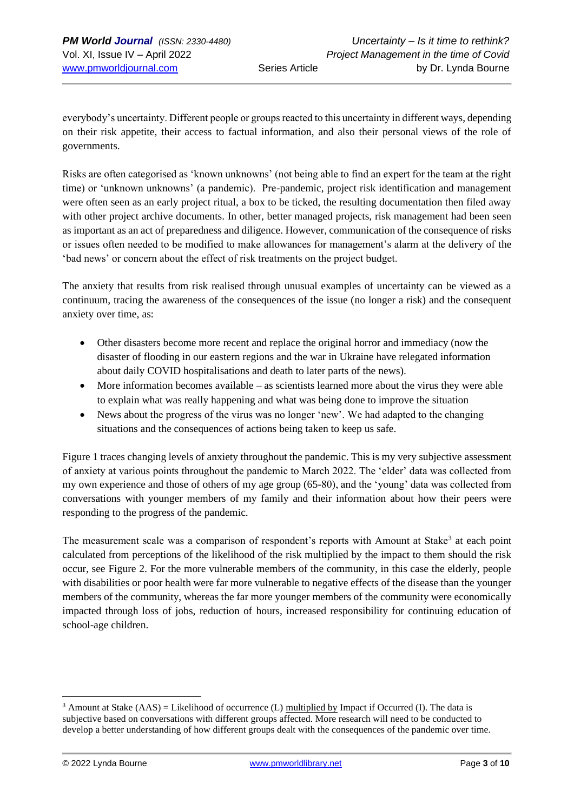everybody's uncertainty. Different people or groups reacted to this uncertainty in different ways, depending on their risk appetite, their access to factual information, and also their personal views of the role of governments.

Risks are often categorised as 'known unknowns' (not being able to find an expert for the team at the right time) or 'unknown unknowns' (a pandemic). Pre-pandemic, project risk identification and management were often seen as an early project ritual, a box to be ticked, the resulting documentation then filed away with other project archive documents. In other, better managed projects, risk management had been seen as important as an act of preparedness and diligence. However, communication of the consequence of risks or issues often needed to be modified to make allowances for management's alarm at the delivery of the 'bad news' or concern about the effect of risk treatments on the project budget.

The anxiety that results from risk realised through unusual examples of uncertainty can be viewed as a continuum, tracing the awareness of the consequences of the issue (no longer a risk) and the consequent anxiety over time, as:

- Other disasters become more recent and replace the original horror and immediacy (now the disaster of flooding in our eastern regions and the war in Ukraine have relegated information about daily COVID hospitalisations and death to later parts of the news).
- More information becomes available as scientists learned more about the virus they were able to explain what was really happening and what was being done to improve the situation
- News about the progress of the virus was no longer 'new'. We had adapted to the changing situations and the consequences of actions being taken to keep us safe.

Figure 1 traces changing levels of anxiety throughout the pandemic. This is my very subjective assessment of anxiety at various points throughout the pandemic to March 2022. The 'elder' data was collected from my own experience and those of others of my age group (65-80), and the 'young' data was collected from conversations with younger members of my family and their information about how their peers were responding to the progress of the pandemic.

The measurement scale was a comparison of respondent's reports with Amount at Stake<sup>3</sup> at each point calculated from perceptions of the likelihood of the risk multiplied by the impact to them should the risk occur, see Figure 2. For the more vulnerable members of the community, in this case the elderly, people with disabilities or poor health were far more vulnerable to negative effects of the disease than the younger members of the community, whereas the far more younger members of the community were economically impacted through loss of jobs, reduction of hours, increased responsibility for continuing education of school-age children.

 $3$  Amount at Stake (AAS) = Likelihood of occurrence (L) multiplied by Impact if Occurred (I). The data is subjective based on conversations with different groups affected. More research will need to be conducted to develop a better understanding of how different groups dealt with the consequences of the pandemic over time.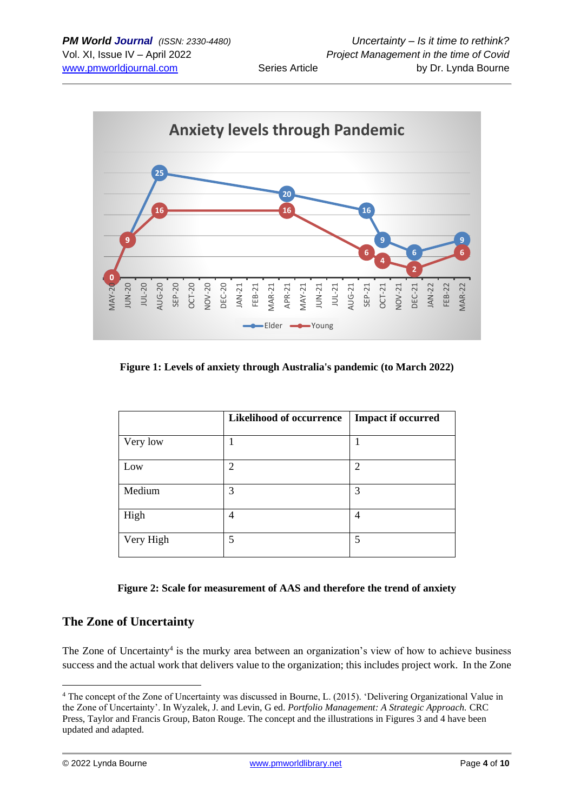

<span id="page-3-0"></span>**Figure 1: Levels of anxiety through Australia's pandemic (to March 2022)**

|           | <b>Likelihood of occurrence</b> | <b>Impact if occurred</b> |
|-----------|---------------------------------|---------------------------|
| Very low  |                                 |                           |
| Low       | $\overline{2}$                  | $\overline{2}$            |
| Medium    | 3                               | 3                         |
| High      | 4                               | 4                         |
| Very High | 5                               | 5                         |

#### **Figure 2: Scale for measurement of AAS and therefore the trend of anxiety**

## **The Zone of Uncertainty**

The Zone of Uncertainty<sup>4</sup> is the murky area between an organization's view of how to achieve business success and the actual work that delivers value to the organization; this includes project work. In the Zone

<sup>4</sup> The concept of the Zone of Uncertainty was discussed in Bourne, L. (2015). 'Delivering Organizational Value in the Zone of Uncertainty'. In Wyzalek, J. and Levin, G ed. *Portfolio Management: A Strategic Approach.* CRC Press, Taylor and Francis Group, Baton Rouge. The concept and the illustrations in Figures 3 and 4 have been updated and adapted.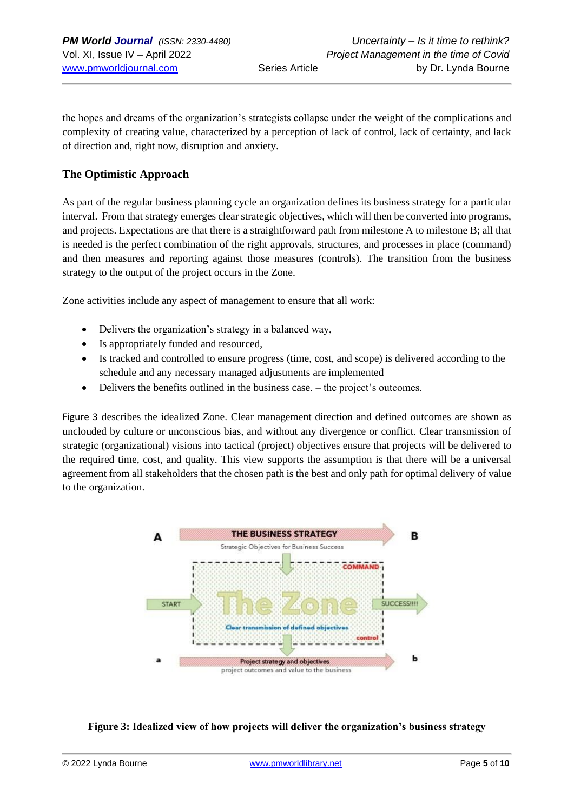the hopes and dreams of the organization's strategists collapse under the weight of the complications and complexity of creating value, characterized by a perception of lack of control, lack of certainty, and lack of direction and, right now, disruption and anxiety.

### **The Optimistic Approach**

As part of the regular business planning cycle an organization defines its business strategy for a particular interval. From that strategy emerges clear strategic objectives, which will then be converted into programs, and projects. Expectations are that there is a straightforward path from milestone A to milestone B; all that is needed is the perfect combination of the right approvals, structures, and processes in place (command) and then measures and reporting against those measures (controls). The transition from the business strategy to the output of the project occurs in the Zone.

Zone activities include any aspect of management to ensure that all work:

- Delivers the organization's strategy in a balanced way,
- Is appropriately funded and resourced,
- Is tracked and controlled to ensure progress (time, cost, and scope) is delivered according to the schedule and any necessary managed adjustments are implemented
- Delivers the benefits outlined in the business case. the project's outcomes.

Figure 3 describes the idealized Zone. Clear management direction and defined outcomes are shown as unclouded by culture or unconscious bias, and without any divergence or conflict. Clear transmission of strategic (organizational) visions into tactical (project) objectives ensure that projects will be delivered to the required time, cost, and quality. This view supports the assumption is that there will be a universal agreement from all stakeholders that the chosen path is the best and only path for optimal delivery of value to the organization.



#### **Figure 3: Idealized view of how projects will deliver the organization's business strategy**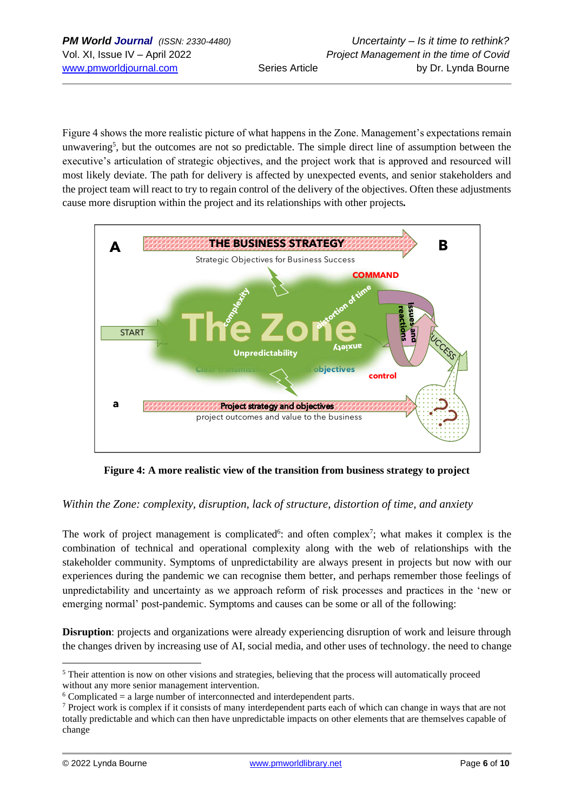Figure 4 shows the more realistic picture of what happens in the Zone. Management's expectations remain unwavering<sup>5</sup>, but the outcomes are not so predictable. The simple direct line of assumption between the executive's articulation of strategic objectives, and the project work that is approved and resourced will most likely deviate. The path for delivery is affected by unexpected events, and senior stakeholders and the project team will react to try to regain control of the delivery of the objectives. Often these adjustments cause more disruption within the project and its relationships with other projects*.* 



**Figure 4: A more realistic view of the transition from business strategy to project**

### *Within the Zone: complexity, disruption, lack of structure, distortion of time, and anxiety*

The work of project management is complicated<sup>6</sup>: and often complex<sup>7</sup>; what makes it complex is the combination of technical and operational complexity along with the web of relationships with the stakeholder community. Symptoms of unpredictability are always present in projects but now with our experiences during the pandemic we can recognise them better, and perhaps remember those feelings of unpredictability and uncertainty as we approach reform of risk processes and practices in the 'new or emerging normal' post-pandemic. Symptoms and causes can be some or all of the following:

**Disruption**: projects and organizations were already experiencing disruption of work and leisure through the changes driven by increasing use of AI, social media, and other uses of technology. the need to change

<sup>&</sup>lt;sup>5</sup> Their attention is now on other visions and strategies, believing that the process will automatically proceed without any more senior management intervention.

 $6$  Complicated = a large number of interconnected and interdependent parts.

<sup>7</sup> Project work is complex if it consists of many interdependent parts each of which can change in ways that are not totally predictable and which can then have unpredictable impacts on other elements that are themselves capable of change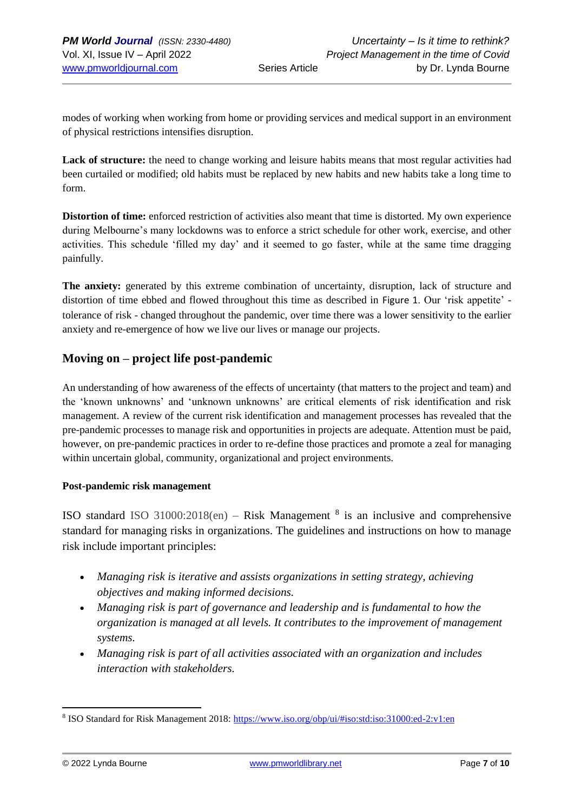modes of working when working from home or providing services and medical support in an environment of physical restrictions intensifies disruption.

Lack of structure: the need to change working and leisure habits means that most regular activities had been curtailed or modified; old habits must be replaced by new habits and new habits take a long time to form.

**Distortion of time:** enforced restriction of activities also meant that time is distorted. My own experience during Melbourne's many lockdowns was to enforce a strict schedule for other work, exercise, and other activities. This schedule 'filled my day' and it seemed to go faster, while at the same time dragging painfully.

**The anxiety:** generated by this extreme combination of uncertainty, disruption, lack of structure and distortion of time ebbed and flowed throughout this time as described in [Figure 1](#page-3-0). Our 'risk appetite' tolerance of risk - changed throughout the pandemic, over time there was a lower sensitivity to the earlier anxiety and re-emergence of how we live our lives or manage our projects.

## **Moving on – project life post-pandemic**

An understanding of how awareness of the effects of uncertainty (that matters to the project and team) and the 'known unknowns' and 'unknown unknowns' are critical elements of risk identification and risk management. A review of the current risk identification and management processes has revealed that the pre-pandemic processes to manage risk and opportunities in projects are adequate. Attention must be paid, however, on pre-pandemic practices in order to re-define those practices and promote a zeal for managing within uncertain global, community, organizational and project environments.

#### **Post-pandemic risk management**

ISO standard ISO 31000:2018(en) – Risk Management  $8$  is an inclusive and comprehensive standard for managing risks in organizations. The guidelines and instructions on how to manage risk include important principles:

- *Managing risk is iterative and assists organizations in setting strategy, achieving objectives and making informed decisions.*
- *Managing risk is part of governance and leadership and is fundamental to how the organization is managed at all levels. It contributes to the improvement of management systems.*
- *Managing risk is part of all activities associated with an organization and includes interaction with stakeholders.*

<sup>&</sup>lt;sup>8</sup> ISO Standard for Risk Management 2018:<https://www.iso.org/obp/ui/#iso:std:iso:31000:ed-2:v1:en>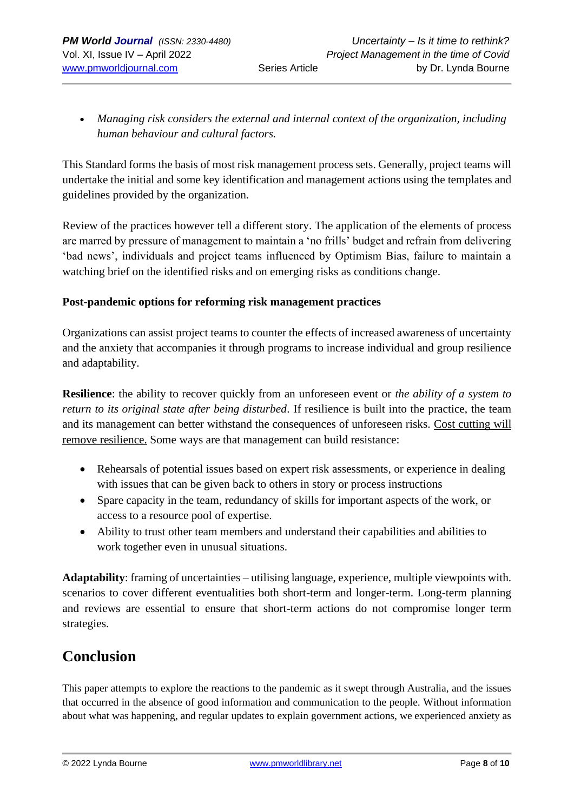• *Managing risk considers the external and internal context of the organization, including human behaviour and cultural factors.*

This Standard forms the basis of most risk management process sets. Generally, project teams will undertake the initial and some key identification and management actions using the templates and guidelines provided by the organization.

Review of the practices however tell a different story. The application of the elements of process are marred by pressure of management to maintain a 'no frills' budget and refrain from delivering 'bad news', individuals and project teams influenced by Optimism Bias, failure to maintain a watching brief on the identified risks and on emerging risks as conditions change.

### **Post-pandemic options for reforming risk management practices**

Organizations can assist project teams to counter the effects of increased awareness of uncertainty and the anxiety that accompanies it through programs to increase individual and group resilience and adaptability.

**Resilience**: the ability to recover quickly from an unforeseen event or *the ability of a system to return to its original state after being disturbed*. If resilience is built into the practice, the team and its management can better withstand the consequences of unforeseen risks. Cost cutting will remove resilience. Some ways are that management can build resistance:

- Rehearsals of potential issues based on expert risk assessments, or experience in dealing with issues that can be given back to others in story or process instructions
- Spare capacity in the team, redundancy of skills for important aspects of the work, or access to a resource pool of expertise.
- Ability to trust other team members and understand their capabilities and abilities to work together even in unusual situations.

**Adaptability**: framing of uncertainties – utilising language, experience, multiple viewpoints with. scenarios to cover different eventualities both short-term and longer-term. Long-term planning and reviews are essential to ensure that short-term actions do not compromise longer term strategies.

# **Conclusion**

This paper attempts to explore the reactions to the pandemic as it swept through Australia, and the issues that occurred in the absence of good information and communication to the people. Without information about what was happening, and regular updates to explain government actions, we experienced anxiety as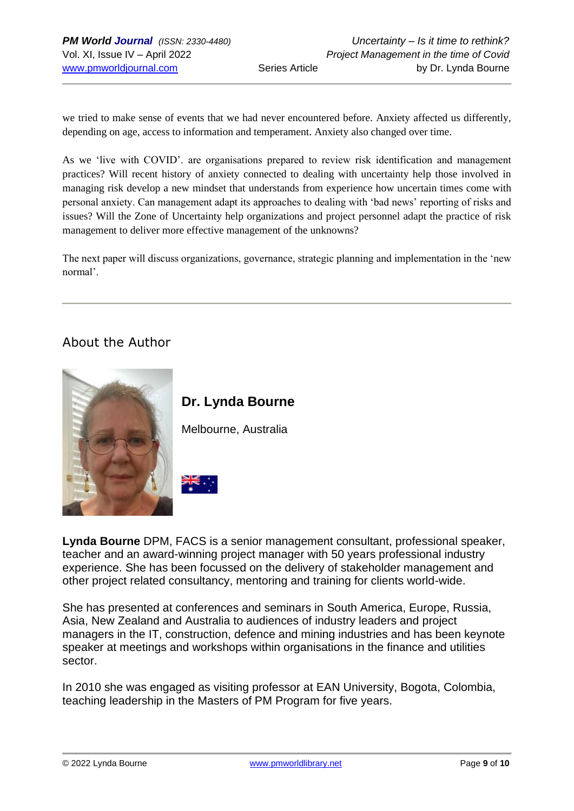we tried to make sense of events that we had never encountered before. Anxiety affected us differently, depending on age, access to information and temperament. Anxiety also changed over time.

As we 'live with COVID'. are organisations prepared to review risk identification and management practices? Will recent history of anxiety connected to dealing with uncertainty help those involved in managing risk develop a new mindset that understands from experience how uncertain times come with personal anxiety. Can management adapt its approaches to dealing with 'bad news' reporting of risks and issues? Will the Zone of Uncertainty help organizations and project personnel adapt the practice of risk management to deliver more effective management of the unknowns?

The next paper will discuss organizations, governance, strategic planning and implementation in the 'new normal'.

## About the Author





Melbourne, Australia



**Lynda Bourne** DPM, FACS is a senior management consultant, professional speaker, teacher and an award-winning project manager with 50 years professional industry experience. She has been focussed on the delivery of stakeholder management and other project related consultancy, mentoring and training for clients world-wide.

She has presented at conferences and seminars in South America, Europe, Russia, Asia, New Zealand and Australia to audiences of industry leaders and project managers in the IT, construction, defence and mining industries and has been keynote speaker at meetings and workshops within organisations in the finance and utilities sector.

In 2010 she was engaged as visiting professor at EAN University, Bogota, Colombia, teaching leadership in the Masters of PM Program for five years.